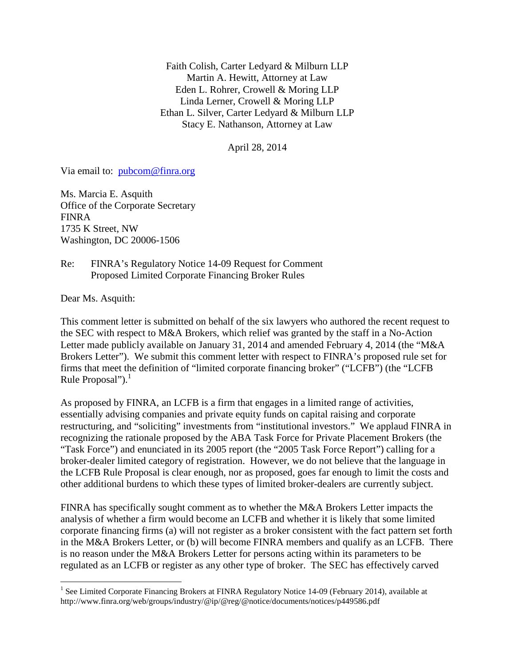Faith Colish, Carter Ledyard & Milburn LLP Martin A. Hewitt, Attorney at Law Eden L. Rohrer, Crowell & Moring LLP Linda Lerner, Crowell & Moring LLP Ethan L. Silver, Carter Ledyard & Milburn LLP Stacy E. Nathanson, Attorney at Law

April 28, 2014

Via email to: pubcom@finra.org

Ms. Marcia E. Asquith Office of the Corporate Secretary FINRA 1735 K Street, NW Washington, DC 20006-1506

Re: FINRA's Regulatory Notice 14-09 Request for Comment Proposed Limited Corporate Financing Broker Rules

Dear Ms. Asquith:

This comment letter is submitted on behalf of the six lawyers who authored the recent request to the SEC with respect to M&A Brokers, which relief was granted by the staff in a No-Action Letter made publicly available on January 31, 2014 and amended February 4, 2014 (the "M&A Brokers Letter"). We submit this comment letter with respect to FINRA's proposed rule set for firms that meet the definition of "limited corporate financing broker" ("LCFB") (the "LCFB Rule Proposal"). $^1$ 

As proposed by FINRA, an LCFB is a firm that engages in a limited range of activities, essentially advising companies and private equity funds on capital raising and corporate restructuring, and "soliciting" investments from "institutional investors." We applaud FINRA in recognizing the rationale proposed by the ABA Task Force for Private Placement Brokers (the "Task Force") and enunciated in its 2005 report (the "2005 Task Force Report") calling for a broker-dealer limited category of registration. However, we do not believe that the language in the LCFB Rule Proposal is clear enough, nor as proposed, goes far enough to limit the costs and other additional burdens to which these types of limited broker-dealers are currently subject.

FINRA has specifically sought comment as to whether the M&A Brokers Letter impacts the analysis of whether a firm would become an LCFB and whether it is likely that some limited corporate financing firms (a) will not register as a broker consistent with the fact pattern set forth in the M&A Brokers Letter, or (b) will become FINRA members and qualify as an LCFB. There is no reason under the M&A Brokers Letter for persons acting within its parameters to be regulated as an LCFB or register as any other type of broker. The SEC has effectively carved

<sup>1&</sup>lt;br>
<sup>1</sup> See Limited Corporate Financing Brokers at FINRA Regulatory Notice 14-09 (February 2014), available at http://www.finra.org/web/groups/industry/@ip/@reg/@notice/documents/notices/p449586.pdf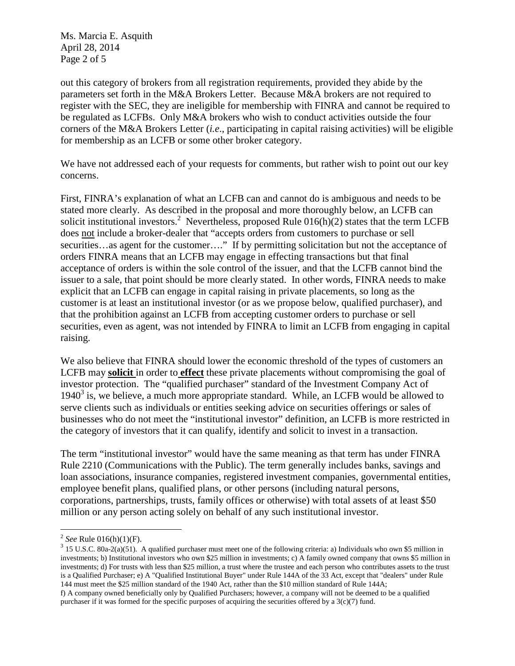Ms. Marcia E. Asquith April 28, 2014 Page 2 of 5

out this category of brokers from all registration requirements, provided they abide by the parameters set forth in the M&A Brokers Letter. Because M&A brokers are not required to register with the SEC, they are ineligible for membership with FINRA and cannot be required to be regulated as LCFBs. Only M&A brokers who wish to conduct activities outside the four corners of the M&A Brokers Letter (*i.e*., participating in capital raising activities) will be eligible for membership as an LCFB or some other broker category.

We have not addressed each of your requests for comments, but rather wish to point out our key concerns.

First, FINRA's explanation of what an LCFB can and cannot do is ambiguous and needs to be stated more clearly. As described in the proposal and more thoroughly below, an LCFB can solicit institutional investors.<sup>2</sup> Nevertheless, proposed Rule  $016(h)(2)$  states that the term LCFB does not include a broker-dealer that "accepts orders from customers to purchase or sell securities...as agent for the customer...." If by permitting solicitation but not the acceptance of orders FINRA means that an LCFB may engage in effecting transactions but that final acceptance of orders is within the sole control of the issuer, and that the LCFB cannot bind the issuer to a sale, that point should be more clearly stated. In other words, FINRA needs to make explicit that an LCFB can engage in capital raising in private placements, so long as the customer is at least an institutional investor (or as we propose below, qualified purchaser), and that the prohibition against an LCFB from accepting customer orders to purchase or sell securities, even as agent, was not intended by FINRA to limit an LCFB from engaging in capital raising.

We also believe that FINRA should lower the economic threshold of the types of customers an LCFB may **solicit** in order to **effect** these private placements without compromising the goal of investor protection. The "qualified purchaser" standard of the Investment Company Act of  $1940<sup>3</sup>$  is, we believe, a much more appropriate standard. While, an LCFB would be allowed to serve clients such as individuals or entities seeking advice on securities offerings or sales of businesses who do not meet the "institutional investor" definition, an LCFB is more restricted in the category of investors that it can qualify, identify and solicit to invest in a transaction.

The term "institutional investor" would have the same meaning as that term has under FINRA Rule 2210 (Communications with the Public). The term generally includes banks, savings and loan associations, insurance companies, registered investment companies, governmental entities, employee benefit plans, qualified plans, or other persons (including natural persons, corporations, partnerships, trusts, family offices or otherwise) with total assets of at least \$50 million or any person acting solely on behalf of any such institutional investor.

 $3$  15 U.S.C. 80a-2(a)(51). A qualified purchaser must meet one of the following criteria: a) Individuals who own \$5 million in investments; b) Institutional investors who own \$25 million in investments; c) A family owned company that owns \$5 million in investments; d) For trusts with less than \$25 million, a trust where the trustee and each person who contributes assets to the trust is a Qualified Purchaser; e) A "Qualified Institutional Buyer" under Rule 144A of the 33 Act, except that "dealers" under Rule 144 must meet the \$25 million standard of the 1940 Act, rather than the \$10 million standard of Rule 144A; f) A company owned beneficially only by Qualified Purchasers; however, a company will not be deemed to be a qualified purchaser if it was formed for the specific purposes of acquiring the securities offered by a  $3(c)(7)$  fund.

 2 *See* Rule 016(h)(1)(F).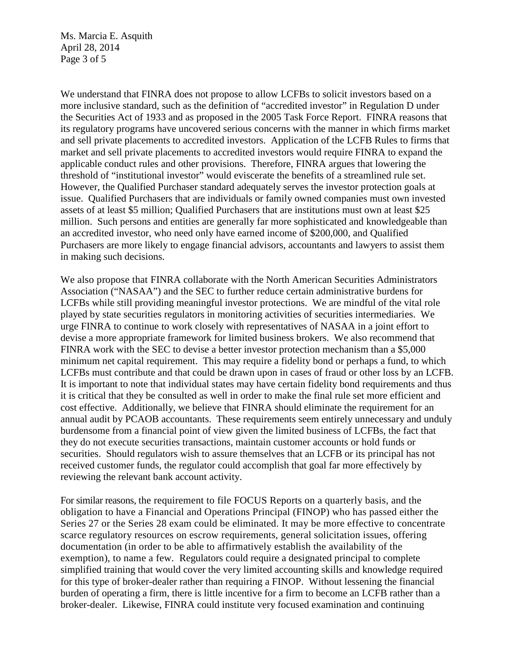Ms. Marcia E. Asquith April 28, 2014 Page 3 of 5

We understand that FINRA does not propose to allow LCFBs to solicit investors based on a more inclusive standard, such as the definition of "accredited investor" in Regulation D under the Securities Act of 1933 and as proposed in the 2005 Task Force Report. FINRA reasons that its regulatory programs have uncovered serious concerns with the manner in which firms market and sell private placements to accredited investors. Application of the LCFB Rules to firms that market and sell private placements to accredited investors would require FINRA to expand the applicable conduct rules and other provisions. Therefore, FINRA argues that lowering the threshold of "institutional investor" would eviscerate the benefits of a streamlined rule set. However, the Qualified Purchaser standard adequately serves the investor protection goals at issue. Qualified Purchasers that are individuals or family owned companies must own invested assets of at least \$5 million; Qualified Purchasers that are institutions must own at least \$25 million. Such persons and entities are generally far more sophisticated and knowledgeable than an accredited investor, who need only have earned income of \$200,000, and Qualified Purchasers are more likely to engage financial advisors, accountants and lawyers to assist them in making such decisions.

We also propose that FINRA collaborate with the North American Securities Administrators Association ("NASAA") and the SEC to further reduce certain administrative burdens for LCFBs while still providing meaningful investor protections. We are mindful of the vital role played by state securities regulators in monitoring activities of securities intermediaries. We urge FINRA to continue to work closely with representatives of NASAA in a joint effort to devise a more appropriate framework for limited business brokers. We also recommend that FINRA work with the SEC to devise a better investor protection mechanism than a \$5,000 minimum net capital requirement. This may require a fidelity bond or perhaps a fund, to which LCFBs must contribute and that could be drawn upon in cases of fraud or other loss by an LCFB. It is important to note that individual states may have certain fidelity bond requirements and thus it is critical that they be consulted as well in order to make the final rule set more efficient and cost effective. Additionally, we believe that FINRA should eliminate the requirement for an annual audit by PCAOB accountants. These requirements seem entirely unnecessary and unduly burdensome from a financial point of view given the limited business of LCFBs, the fact that they do not execute securities transactions, maintain customer accounts or hold funds or securities. Should regulators wish to assure themselves that an LCFB or its principal has not received customer funds, the regulator could accomplish that goal far more effectively by reviewing the relevant bank account activity.

For similar reasons, the requirement to file FOCUS Reports on a quarterly basis, and the obligation to have a Financial and Operations Principal (FINOP) who has passed either the Series 27 or the Series 28 exam could be eliminated. It may be more effective to concentrate scarce regulatory resources on escrow requirements, general solicitation issues, offering documentation (in order to be able to affirmatively establish the availability of the exemption), to name a few. Regulators could require a designated principal to complete simplified training that would cover the very limited accounting skills and knowledge required for this type of broker-dealer rather than requiring a FINOP. Without lessening the financial burden of operating a firm, there is little incentive for a firm to become an LCFB rather than a broker-dealer. Likewise, FINRA could institute very focused examination and continuing